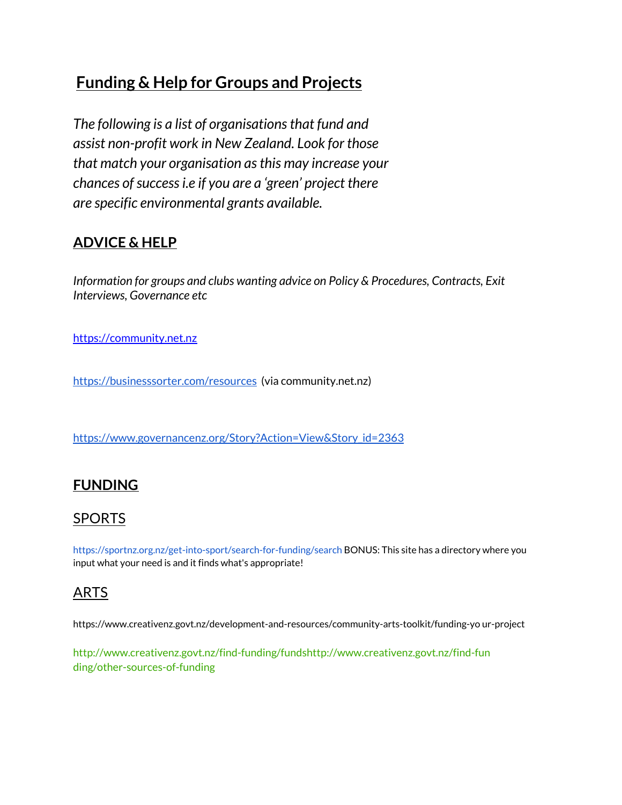# **Funding & Help for Groups and Projects**

*The following is a list of organisationsthat fund and assist non-profit work in New Zealand. Look for those that match your organisation asthis may increase your chances ofsuccessi.e if you are a 'green' project there are specific environmental grants available.*

# **ADVICE & HELP**

*Information for groups and clubs wanting advice on Policy & Procedures, Contracts, Exit Interviews, Governance etc*

[https://community.net.nz](https://community.net.nz/)

<https://businesssorter.com/resources> (via community.net.nz)

[https://www.governancenz.org/Story?Action=View&Story\\_id=2363](https://www.governancenz.org/Story?Action=View&Story_id=2363)

# **FUNDING**

# SPORTS

https://sportnz.org.nz/get-into-sport/search-for-funding/search BONUS: This site has a directory where you input what your need is and it finds what's appropriate!

# ARTS

https://www.creativenz.govt.nz/development-and-resources/community-arts-toolkit/funding-yo ur-project

http://www.creativenz.govt.nz/find-funding/fundshttp://www.creativenz.govt.nz/find-fun ding/other-sources-of-funding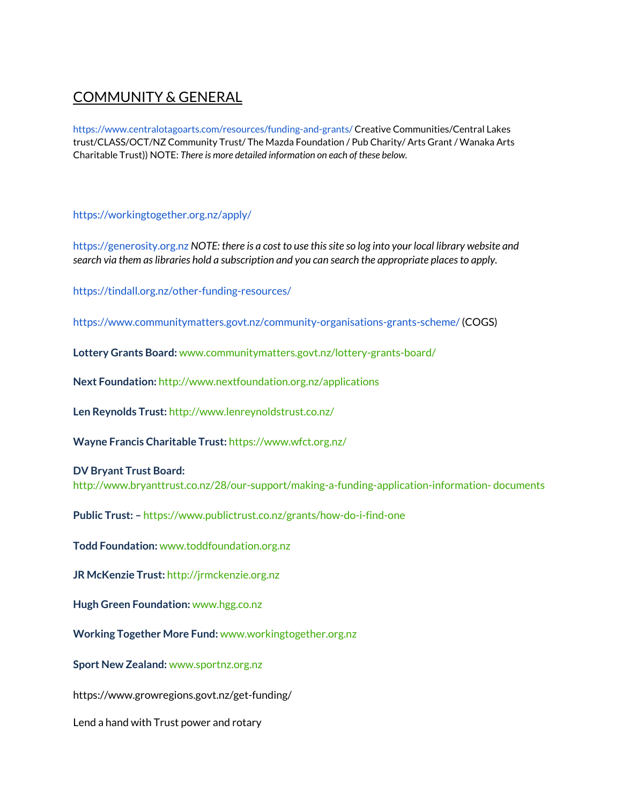# COMMUNITY & GENERAL

https://www.centralotagoarts.com/resources/funding-and-grants/ Creative Communities/Central Lakes trust/CLASS/OCT/NZ Community Trust/ The Mazda Foundation / Pub Charity/ Arts Grant / Wanaka Arts Charitable Trust)) NOTE: *There is more detailed information on each of these below.*

# https://workingtogether.org.nz/apply/

https://generosity.org.nz *NOTE: there is a cost to use thissite so log into your local library website and search via them aslibraries hold a subscription and you can search the appropriate placesto apply.*

https://tindall.org.nz/other-funding-resources/

https://www.communitymatters.govt.nz/community-organisations-grants-scheme/ (COGS)

**Lottery Grants Board:** www.communitymatters.govt.nz/lottery-grants-board/

**Next Foundation:** http://www.nextfoundation.org.nz/applications

**Len Reynolds Trust:** http://www.lenreynoldstrust.co.nz/

**Wayne Francis Charitable Trust:** https://www.wfct.org.nz/

# **DV Bryant Trust Board:**

http://www.bryanttrust.co.nz/28/our-support/making-a-funding-application-information- documents

**Public Trust: –** https://www.publictrust.co.nz/grants/how-do-i-find-one

**Todd Foundation:** www.toddfoundation.org.nz

**JR McKenzie Trust:** http://jrmckenzie.org.nz

**Hugh Green Foundation:** www.hgg.co.nz

**Working Together More Fund:** www.workingtogether.org.nz

**Sport New Zealand:** www.sportnz.org.nz

https://www.growregions.govt.nz/get-funding/

Lend a hand with Trust power and rotary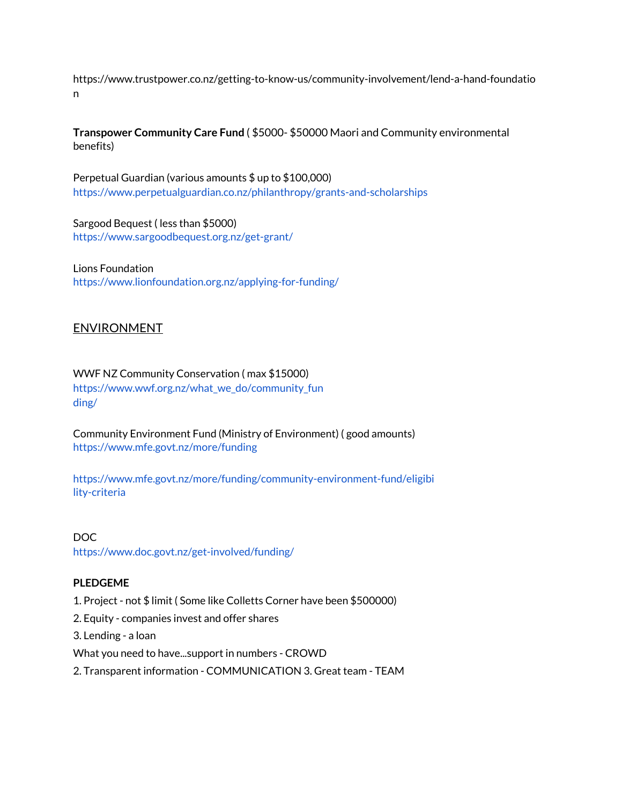https://www.trustpower.co.nz/getting-to-know-us/community-involvement/lend-a-hand-foundatio n

**Transpower Community Care Fund** ( \$5000- \$50000 Maori and Community environmental benefits)

Perpetual Guardian (various amounts \$ up to \$100,000) https://www.perpetualguardian.co.nz/philanthropy/grants-and-scholarships

Sargood Bequest ( less than \$5000) https://www.sargoodbequest.org.nz/get-grant/

Lions Foundation https://www.lionfoundation.org.nz/applying-for-funding/

# **ENVIRONMENT**

WWF NZ Community Conservation ( max \$15000) https://www.wwf.org.nz/what\_we\_do/community\_fun ding/

Community Environment Fund (Ministry of Environment) ( good amounts) https://www.mfe.govt.nz/more/funding

https://www.mfe.govt.nz/more/funding/community-environment-fund/eligibi lity-criteria

DOC https://www.doc.govt.nz/get-involved/funding/

# **PLEDGEME**

- 1. Project not \$ limit ( Some like Colletts Corner have been \$500000)
- 2. Equity companies invest and offer shares

3. Lending - a loan

What you need to have...support in numbers - CROWD

2. Transparent information - COMMUNICATION 3. Great team - TEAM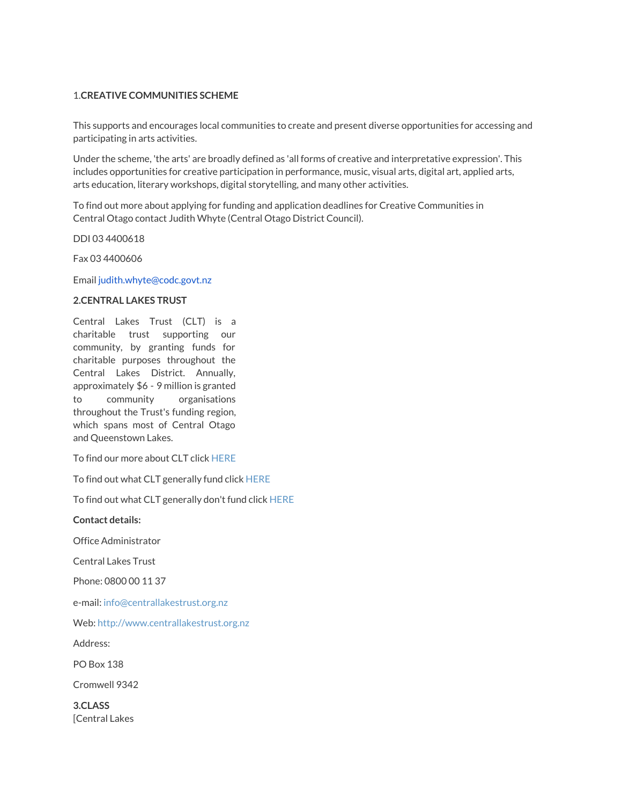## 1.**CREATIVE COMMUNITIES SCHEME**

This supports and encourages local communities to create and present diverse opportunities for accessing and participating in arts activities.

Under the scheme, 'the arts' are broadly defined as 'all forms of creative and interpretative expression'. This includes opportunities for creative participation in performance, music, visual arts, digital art, applied arts, arts education, literary workshops, digital storytelling, and many other activities.

To find out more about applying for funding and application deadlines for Creative Communities in Central Otago contact Judith Whyte (Central Otago District Council).

DDI 03 4400618

Fax 03 4400606

Email judith.whyte@codc.govt.nz

### **2.CENTRAL LAKES TRUST**

Central Lakes Trust (CLT) is a charitable trust supporting our community, by granting funds for charitable purposes throughout the Central Lakes District. Annually, approximately \$6 - 9 million is granted to community organisations throughout the Trust's funding region, which spans most of Central Otago and Queenstown Lakes.

To find our more about CLT click HERE

To find out what CLT generally fund click HERE

To find out what CLT generally don't fund click HERE

**Contact details:**

Office Administrator

Central Lakes Trust

Phone: 0800 00 11 37

e-mail: info@centrallakestrust.org.nz

Web: http://www.centrallakestrust.org.nz

Address:

PO Box 138

Cromwell 9342

**3.CLASS** [Central Lakes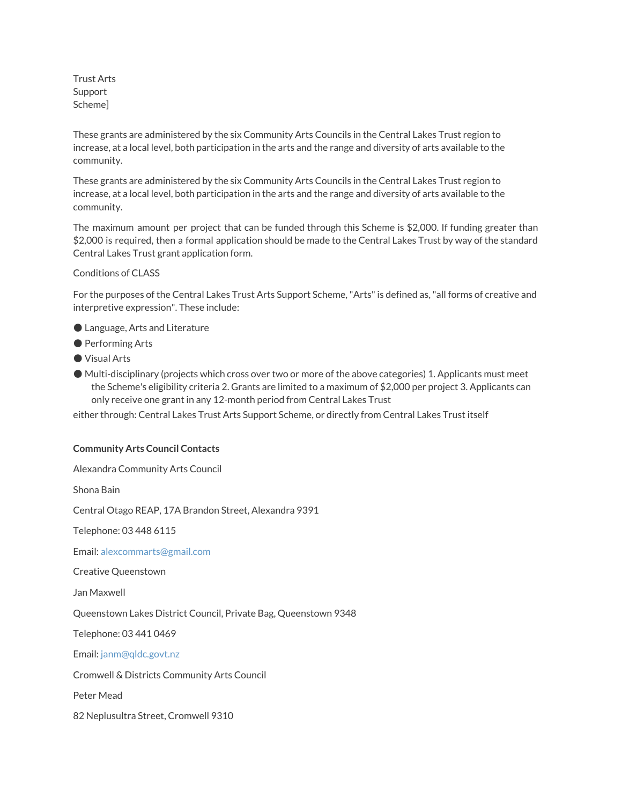Trust Arts Support Scheme]

These grants are administered by the six Community Arts Councils in the Central Lakes Trust region to increase, at a local level, both participation in the arts and the range and diversity of arts available to the community.

These grants are administered by the six Community Arts Councils in the Central Lakes Trust region to increase, at a local level, both participation in the arts and the range and diversity of arts available to the community.

The maximum amount per project that can be funded through this Scheme is \$2,000. If funding greater than \$2,000 is required, then a formal application should be made to the Central Lakes Trust by way of the standard Central Lakes Trust grant application form.

Conditions of CLASS

For the purposes of the Central Lakes Trust Arts Support Scheme,"Arts"is defined as,"all forms of creative and interpretive expression". These include:

- Language, Arts and Literature
- Performing Arts
- Visual Arts
- Multi-disciplinary (projects which cross over two or more of the above categories) 1. Applicants must meet the Scheme's eligibility criteria 2. Grants are limited to a maximum of \$2,000 per project 3. Applicants can only receive one grant in any 12-month period from Central Lakes Trust

either through: Central Lakes Trust Arts Support Scheme, or directly from Central Lakes Trust itself

#### **Community Arts Council Contacts**

Alexandra Community Arts Council

Shona Bain

Central Otago REAP, 17A Brandon Street, Alexandra 9391

Telephone: 03 448 6115

Email: alexcommarts@gmail.com

Creative Queenstown

Jan Maxwell

Queenstown Lakes District Council, Private Bag, Queenstown 9348

Telephone: 03 441 0469

Email: janm@qldc.govt.nz

Cromwell & Districts Community Arts Council

Peter Mead

82 Neplusultra Street, Cromwell 9310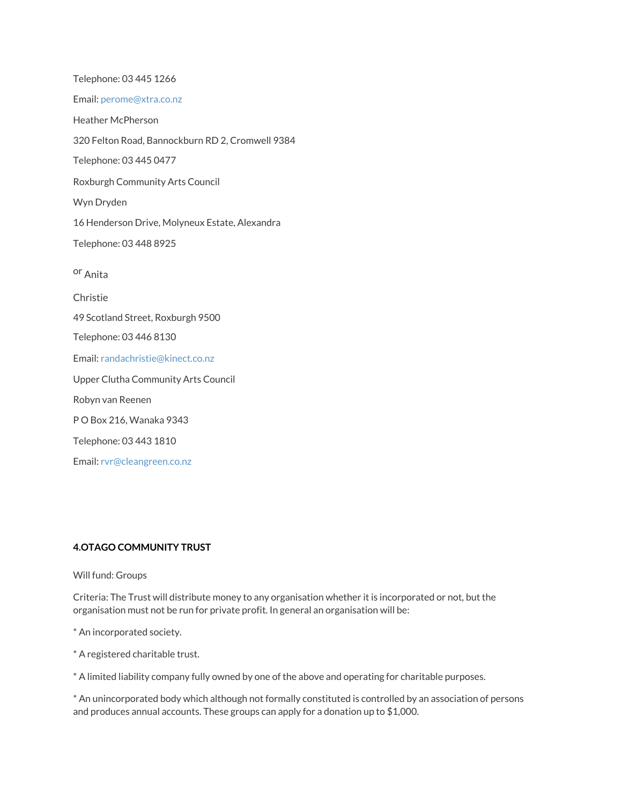Telephone: 03 445 1266 Email: perome@xtra.co.nz Heather McPherson 320 Felton Road, Bannockburn RD 2, Cromwell 9384 Telephone: 03 445 0477 Roxburgh Community Arts Council Wyn Dryden 16 Henderson Drive, Molyneux Estate, Alexandra Telephone: 03 448 8925 or Anita Christie 49 Scotland Street, Roxburgh 9500 Telephone: 03 446 8130 Email: randachristie@kinect.co.nz Upper Clutha Community Arts Council Robyn van Reenen P O Box 216, Wanaka 9343 Telephone: 03 443 1810 Email: rvr@cleangreen.co.nz

# **4.OTAGO COMMUNITY TRUST**

#### Will fund: Groups

Criteria: The Trust will distribute money to any organisation whether it is incorporated or not, but the organisation must not be run for private profit. In general an organisation will be:

\* An incorporated society.

\* A registered charitable trust.

\* A limited liability company fully owned by one of the above and operating for charitable purposes.

\* An unincorporated body which although not formally constituted is controlled by an association of persons and produces annual accounts. These groups can apply for a donation up to \$1,000.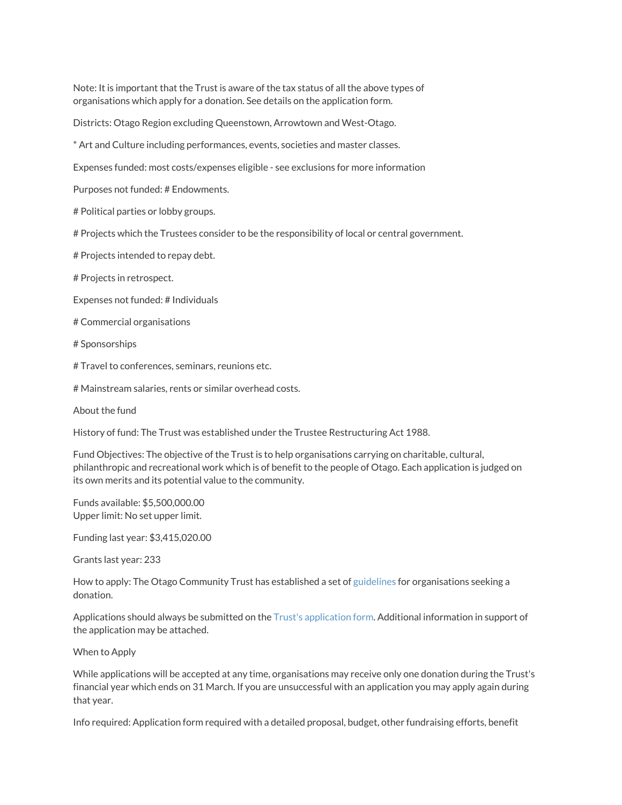Note: It is important that the Trust is aware of the tax status of all the above types of organisations which apply for a donation. See details on the application form.

Districts: Otago Region excluding Queenstown, Arrowtown and West-Otago.

\* Art and Culture including performances, events, societies and master classes.

Expenses funded: most costs/expenses eligible - see exclusions for more information

Purposes not funded: # Endowments.

# Political parties or lobby groups.

# Projects which the Trustees consider to be the responsibility of local or central government.

# Projects intended to repay debt.

# Projects in retrospect.

Expenses not funded: # Individuals

# Commercial organisations

# Sponsorships

# Travel to conferences, seminars, reunions etc.

# Mainstream salaries, rents or similar overhead costs.

About the fund

History of fund: The Trust was established under the Trustee Restructuring Act 1988.

Fund Objectives: The objective of the Trust is to help organisations carrying on charitable, cultural, philanthropic and recreational work which is of benefit to the people of Otago. Each application is judged on its own merits and its potential value to the community.

Funds available: \$5,500,000.00 Upper limit: No set upper limit.

Funding last year: \$3,415,020.00

Grants last year: 233

How to apply: The Otago Community Trust has established a set of guidelines for organisations seeking a donation.

Applications should always be submitted on the Trust's application form. Additional information in support of the application may be attached.

#### When to Apply

While applications will be accepted at any time, organisations may receive only one donation during the Trust's financial year which ends on 31 March. If you are unsuccessful with an application you may apply again during that year.

Info required: Application form required with a detailed proposal, budget, other fundraising efforts, benefit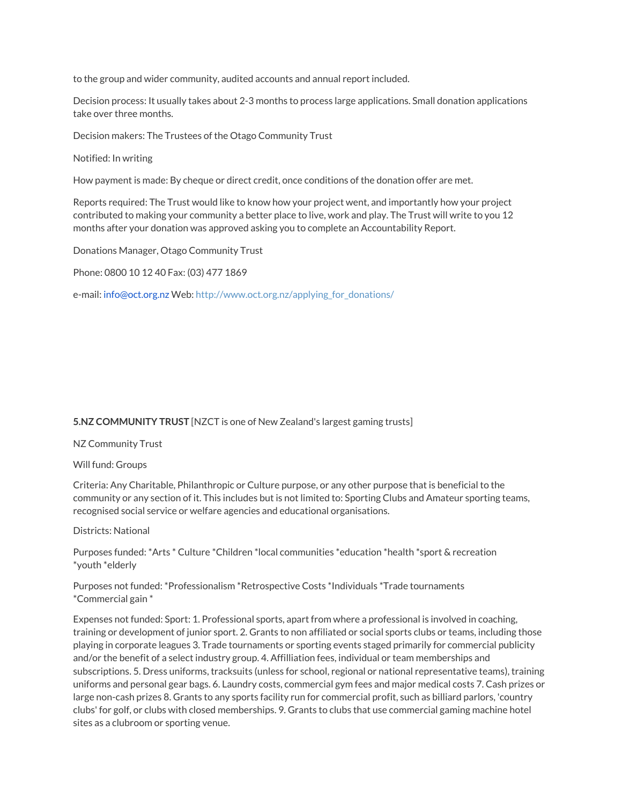to the group and wider community, audited accounts and annual report included.

Decision process: It usually takes about 2-3 months to process large applications. Small donation applications take over three months.

Decision makers: The Trustees of the Otago Community Trust

Notified: In writing

How payment is made: By cheque or direct credit, once conditions of the donation offer are met.

Reports required: The Trust would like to know how your project went, and importantly how your project contributed to making your community a better place to live, work and play. The Trust will write to you 12 months after your donation was approved asking you to complete an Accountability Report.

Donations Manager, Otago Community Trust

Phone: 0800 10 12 40 Fax: (03) 477 1869

e-mail: info@oct.org.nz Web: http://www.oct.org.nz/applying\_for\_donations/

## **5.NZ COMMUNITY TRUST** [NZCT is one of New Zealand's largest gaming trusts]

NZ Community Trust

Will fund: Groups

Criteria: Any Charitable, Philanthropic or Culture purpose, or any other purpose that is beneficial to the community or any section of it. This includes but is not limited to: Sporting Clubs and Amateur sporting teams, recognised social service or welfare agencies and educational organisations.

Districts: National

Purposes funded: \*Arts \* Culture \*Children \*local communities \*education \*health \*sport & recreation \*youth \*elderly

Purposes not funded: \*Professionalism \*Retrospective Costs \*Individuals \*Trade tournaments \*Commercial gain \*

Expenses not funded: Sport: 1. Professional sports, apart from where a professional is involved in coaching, training or development of junior sport. 2. Grants to non affiliated or social sports clubs or teams, including those playing in corporate leagues 3. Trade tournaments or sporting events staged primarily for commercial publicity and/or the benefit of a select industry group. 4. Affilliation fees, individual or team memberships and subscriptions. 5. Dress uniforms, tracksuits (unless for school, regional or national representative teams), training uniforms and personal gear bags. 6. Laundry costs, commercial gym fees and major medical costs 7. Cash prizes or large non-cash prizes 8. Grants to any sports facility run for commercial profit, such as billiard parlors, 'country clubs' for golf, or clubs with closed memberships. 9. Grants to clubs that use commercial gaming machine hotel sites as a clubroom or sporting venue.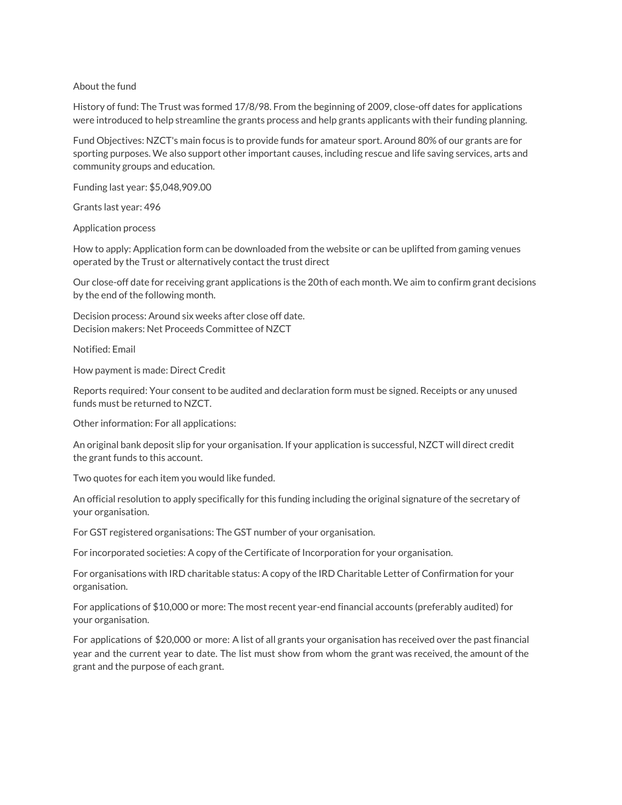## About the fund

History of fund: The Trust was formed 17/8/98. From the beginning of 2009, close-off dates for applications were introduced to help streamline the grants process and help grants applicants with their funding planning.

Fund Objectives: NZCT's main focus is to provide funds for amateur sport. Around 80% of our grants are for sporting purposes. We also support other important causes, including rescue and life saving services, arts and community groups and education.

Funding last year: \$5,048,909.00

Grants last year: 496

Application process

How to apply: Application form can be downloaded from the website or can be uplifted from gaming venues operated by the Trust or alternatively contact the trust direct

Our close-off date for receiving grant applications is the 20th of each month. We aim to confirm grant decisions by the end of the following month.

Decision process: Around six weeks after close off date. Decision makers: Net Proceeds Committee of NZCT

Notified: Email

How payment is made: Direct Credit

Reports required: Your consent to be audited and declaration form must be signed. Receipts or any unused funds must be returned to NZCT.

Other information: For all applications:

An original bank deposit slip for your organisation. If your application is successful, NZCT will direct credit the grant funds to this account.

Two quotes for each item you would like funded.

An official resolution to apply specifically for this funding including the original signature of the secretary of your organisation.

For GST registered organisations: The GST number of your organisation.

For incorporated societies: A copy of the Certificate of Incorporation for your organisation.

For organisations with IRD charitable status: A copy of the IRD Charitable Letter of Confirmation for your organisation.

For applications of \$10,000 or more: The most recent year-end financial accounts (preferably audited) for your organisation.

For applications of \$20,000 or more: A list of all grants your organisation has received over the past financial year and the current year to date. The list must show from whom the grant was received, the amount of the grant and the purpose of each grant.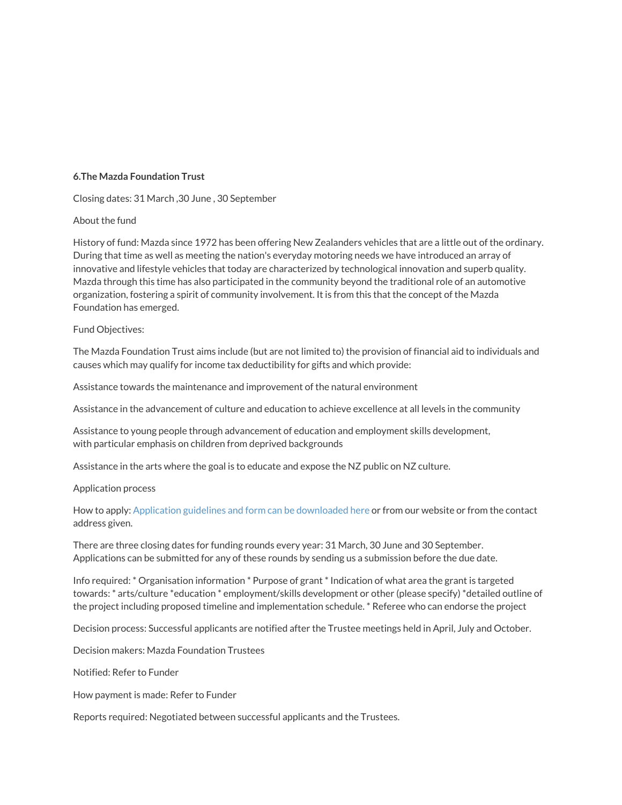## **6.The Mazda Foundation Trust**

Closing dates: 31 March ,30 June , 30 September

### About the fund

History of fund: Mazda since 1972 has been offering New Zealanders vehicles that are a little out of the ordinary. During that time as well as meeting the nation's everyday motoring needs we have introduced an array of innovative and lifestyle vehicles that today are characterized by technological innovation and superb quality. Mazda through this time has also participated in the community beyond the traditional role of an automotive organization, fostering a spirit of community involvement. It is from this that the concept of the Mazda Foundation has emerged.

#### Fund Objectives:

The Mazda Foundation Trust aims include (but are not limited to) the provision of financial aid to individuals and causes which may qualify for income tax deductibility for gifts and which provide:

Assistance towards the maintenance and improvement of the natural environment

Assistance in the advancement of culture and education to achieve excellence at all levels in the community

Assistance to young people through advancement of education and employment skills development, with particular emphasis on children from deprived backgrounds

Assistance in the arts where the goal is to educate and expose the NZ public on NZ culture.

#### Application process

How to apply: Application guidelines and form can be downloaded here or from our website or from the contact address given.

There are three closing dates for funding rounds every year: 31 March, 30 June and 30 September. Applications can be submitted for any of these rounds by sending us a submission before the due date.

Info required: \* Organisation information \* Purpose of grant \* Indication of what area the grant is targeted towards: \* arts/culture \*education \* employment/skills development or other (please specify) \*detailed outline of the project including proposed timeline and implementation schedule. \* Referee who can endorse the project

Decision process: Successful applicants are notified after the Trustee meetings held in April, July and October.

Decision makers: Mazda Foundation Trustees

Notified: Refer to Funder

How payment is made: Refer to Funder

Reports required: Negotiated between successful applicants and the Trustees.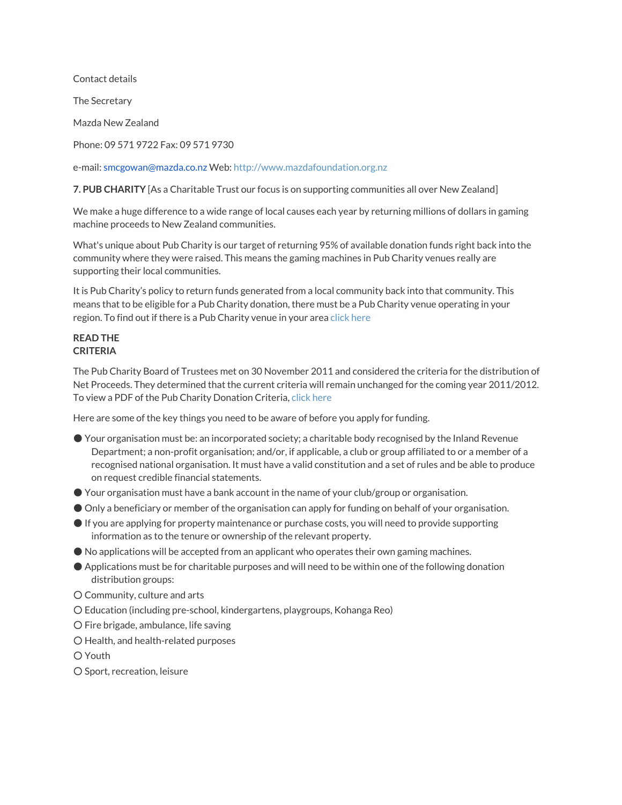Contact details

The Secretary

Mazda New Zealand

Phone: 09 571 9722 Fax: 09 571 9730

e-mail: smcgowan@mazda.co.nz Web: http://www.mazdafoundation.org.nz

**7. PUB CHARITY** [As a Charitable Trust our focus is on supporting communities all over New Zealand]

We make a huge difference to a wide range of local causes each year by returning millions of dollars in gaming machine proceeds to New Zealand communities.

What's unique about Pub Charity is our target of returning 95% of available donation funds right back into the community where they were raised. This means the gaming machines in Pub Charity venues really are supporting their local communities.

It is Pub Charity's policy to return funds generated from a local community back into that community. This means that to be eligible for a Pub Charity donation, there must be a Pub Charity venue operating in your region. To find out if there is a Pub Charity venue in your area click here

# **READ THE CRITERIA**

The Pub Charity Board of Trustees met on 30 November 2011 and considered the criteria for the distribution of Net Proceeds. They determined that the current criteria will remain unchanged for the coming year 2011/2012. To view a PDF of the Pub Charity Donation Criteria, click here

Here are some of the key things you need to be aware of before you apply for funding.

- Your organisation must be: an incorporated society; a charitable body recognised by the Inland Revenue Department; a non-profit organisation; and/or, if applicable, a club or group affiliated to or a member of a recognised national organisation. It must have a valid constitution and a set of rules and be able to produce on request credible financial statements.
- Your organisation must have a bank account in the name of your club/group or organisation.
- Only a beneficiary or member of the organisation can apply for funding on behalf of your organisation.
- If you are applying for property maintenance or purchase costs, you will need to provide supporting information as to the tenure or ownership of the relevant property.
- No applications will be accepted from an applicant who operates their own gaming machines.
- Applications must be for charitable purposes and will need to be within one of the following donation distribution groups:
- Community, culture and arts
- Education (including pre-school, kindergartens, playgroups, Kohanga Reo)
- Fire brigade, ambulance, life saving
- Health, and health-related purposes

○ Youth

○ Sport, recreation, leisure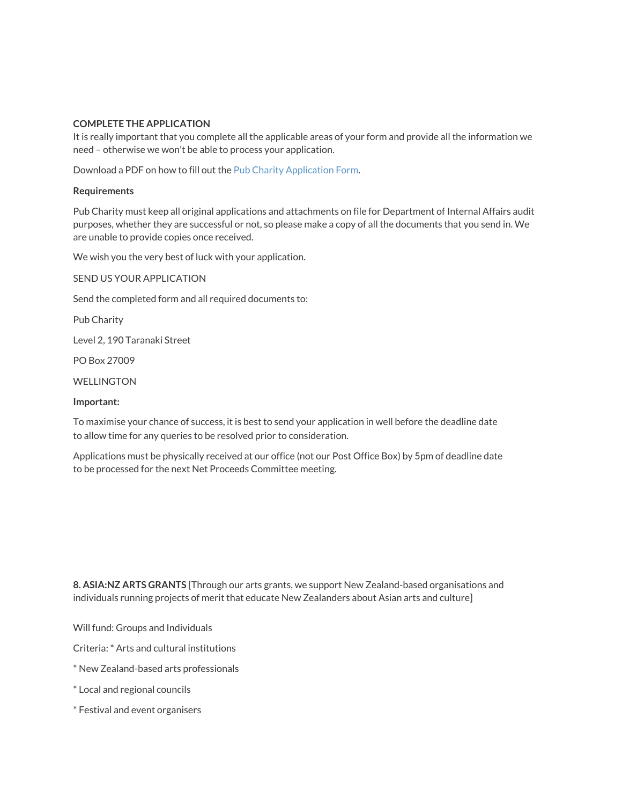### **COMPLETE THE APPLICATION**

It is really important that you complete all the applicable areas of your form and provide all the information we need – otherwise we won't be able to process your application.

Download a PDF on how to fill out the Pub Charity Application Form.

### **Requirements**

Pub Charity must keep all original applications and attachments on file for Department of Internal Affairs audit purposes, whether they are successful or not, so please make a copy of all the documents that you send in. We are unable to provide copies once received.

We wish you the very best of luck with your application.

SEND US YOUR APPLICATION

Send the completed form and all required documents to:

Pub Charity

Level 2, 190 Taranaki Street

PO Box 27009

WELLINGTON

#### **Important:**

To maximise your chance of success, it is best to send your application in well before the deadline date to allow time for any queries to be resolved prior to consideration.

Applications must be physically received at our office (not our Post Office Box) by 5pm of deadline date to be processed for the next Net Proceeds Committee meeting.

**8. ASIA:NZ ARTS GRANTS** [Through our arts grants, we support New Zealand-based organisations and individuals running projects of merit that educate New Zealanders about Asian arts and culture]

Will fund: Groups and Individuals

Criteria: \* Arts and cultural institutions

- \* New Zealand-based arts professionals
- \* Local and regional councils
- \* Festival and event organisers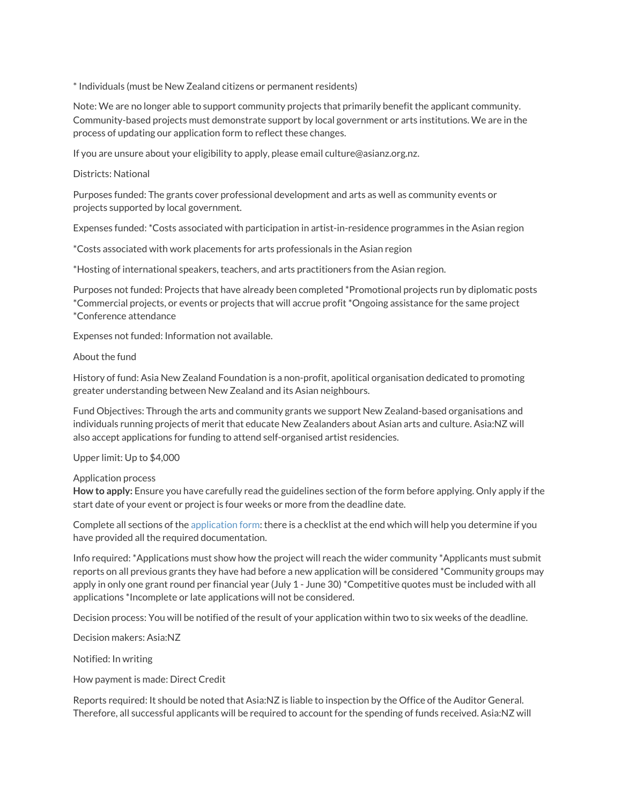\* Individuals (must be New Zealand citizens or permanent residents)

Note: We are no longer able to support community projects that primarily benefit the applicant community. Community-based projects must demonstrate support by local government or arts institutions. We are in the process of updating our application form to reflect these changes.

If you are unsure about your eligibility to apply, please email culture@asianz.org.nz.

### Districts: National

Purposes funded: The grants cover professional development and arts as well as community events or projects supported by local government.

Expenses funded: \*Costs associated with participation in artist-in-residence programmes in the Asian region

\*Costs associated with work placements for arts professionals in the Asian region

\*Hosting of international speakers, teachers, and arts practitioners from the Asian region.

Purposes not funded: Projects that have already been completed \*Promotional projects run by diplomatic posts \*Commercial projects, or events or projects that will accrue profit \*Ongoing assistance for the same project \*Conference attendance

Expenses not funded: Information not available.

### About the fund

History of fund: Asia New Zealand Foundation is a non-profit, apolitical organisation dedicated to promoting greater understanding between New Zealand and its Asian neighbours.

Fund Objectives: Through the arts and community grants we support New Zealand-based organisations and individuals running projects of merit that educate New Zealanders about Asian arts and culture. Asia:NZ will also accept applications for funding to attend self-organised artist residencies.

Upper limit: Up to \$4,000

Application process

**How to apply:** Ensure you have carefully read the guidelines section of the form before applying. Only apply if the start date of your event or project is four weeks or more from the deadline date.

Complete all sections of the application form: there is a checklist at the end which will help you determine if you have provided all the required documentation.

Info required: \*Applications must show how the project will reach the wider community \*Applicants must submit reports on all previous grants they have had before a new application will be considered \*Community groups may apply in only one grant round per financial year (July 1 - June 30) \*Competitive quotes must be included with all applications \*Incomplete or late applications will not be considered.

Decision process: You will be notified of the result of your application within two to six weeks of the deadline.

Decision makers: Asia:NZ

Notified: In writing

How payment is made: Direct Credit

Reports required: It should be noted that Asia:NZ is liable to inspection by the Office of the Auditor General. Therefore, all successful applicants will be required to account for the spending of funds received. Asia:NZ will